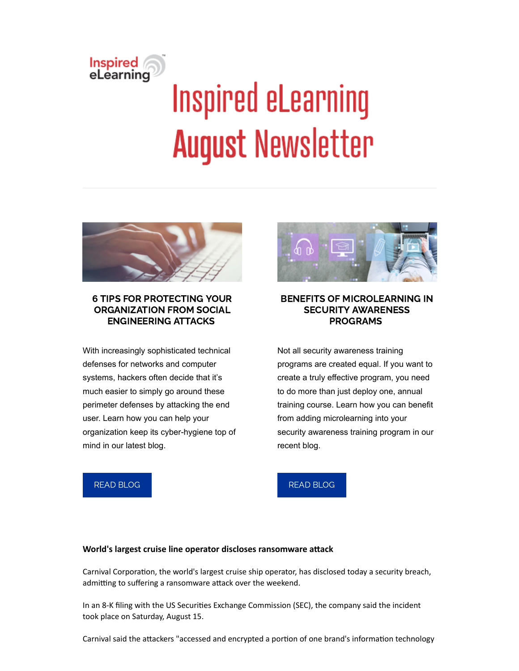

# **Inspired eLearning August Newsletter**



#### 6 TIPS FOR PROTECTING YOUR ORGANIZATION FROM SOCIAL ENGINEERING ATTACKS

With increasingly sophisticated technical defenses for networks and computer systems, hackers often decide that it's much easier to simply go around these perimeter defenses by attacking the end user. Learn how you can help your organization keep its cyber-hygiene top of mind in our latest blog.

#### BENEFITS OF MICROLEARNING IN SECURITY AWARENESS PROGRAMS

Not all security awareness training programs are created equal. If you want to create a truly effective program, you need to do more than just deploy one, annual training course. Learn how you can benefit from adding microlearning into your security awareness training program in our recent blog.

#### READ [BLOG](https://inspiredelearning.com/blog/6-social-engineering-prevention-tips/)

READ [BLOG](https://inspiredelearning.com/blog/benefits-of-microlearning/)

#### World's largest cruise line operator discloses ransomware attack

Carnival Corporation, the world's largest cruise ship operator, has disclosed today a security breach, admitting to suffering a ransomware attack over the weekend.

In an 8-K filing with the US Securities Exchange Commission (SEC), the company said the incident took place on Saturday, August 15.

Carnival said the attackers "accessed and encrypted a portion of one brand's information technology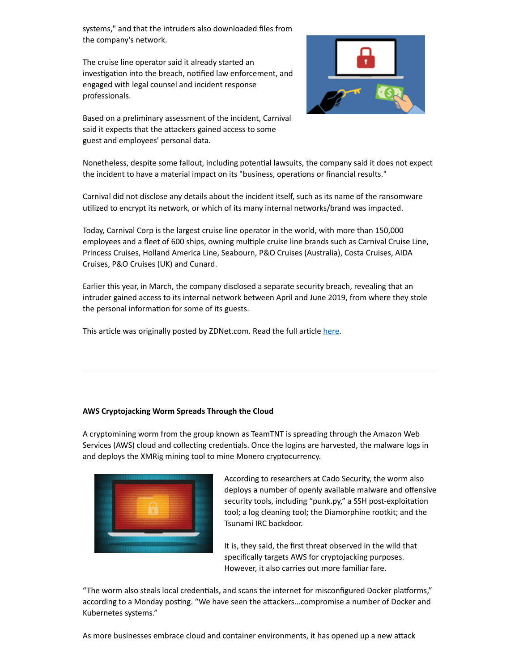systems," and that the intruders also downloaded files from the company's network.

The cruise line operator said it already started an investigation into the breach, notified law enforcement, and engaged with legal counsel and incident response professionals.



Based on a preliminary assessment of the incident, Carnival said it expects that the attackers gained access to some guest and employees' personal data.

Nonetheless, despite some fallout, including potential lawsuits, the company said it does not expect the incident to have a material impact on its "business, operations or financial results."

Carnival did not disclose any details about the incident itself, such as its name of the ransomware utilized to encrypt its network, or which of its many internal networks/brand was impacted.

Today, Carnival Corp is the largest cruise line operator in the world, with more than 150,000 employees and a fleet of 600 ships, owning multiple cruise line brands such as Carnival Cruise Line, Princess Cruises, Holland America Line, Seabourn, P&O Cruises (Australia), Costa Cruises, AIDA Cruises, P&O Cruises (UK) and Cunard.

Earlier this year, in March, the company disclosed a separate security breach, revealing that an intruder gained access to its internal network between April and June 2019, from where they stole the personal information for some of its guests.

This article was originally posted by ZDNet.com. Read the full article [here](https://www.zdnet.com/article/worlds-largest-cruise-line-operator-discloses-ransomware-attack/#ftag=RSSbaffb68).

#### **AWS Cryptojacking Worm Spreads Through the Cloud**

A cryptomining worm from the group known as TeamTNT is spreading through the Amazon Web Services (AWS) cloud and collecting credentials. Once the logins are harvested, the malware logs in and deploys the XMRig mining tool to mine Monero cryptocurrency.



According to researchers at Cado Security, the worm also deploys a number of openly available malware and offensive security tools, including "punk.py," a SSH post-exploitation tool; a log cleaning tool; the Diamorphine rootkit; and the Tsunami IRC backdoor.

It is, they said, the first threat observed in the wild that specifically targets AWS for cryptojacking purposes. However, it also carries out more familiar fare.

"The worm also steals local credentials, and scans the internet for misconfigured Docker platforms," according to a Monday posting. "We have seen the attackers...compromise a number of Docker and Kubernetes systems."

As more businesses embrace cloud and container environments, it has opened up a new attack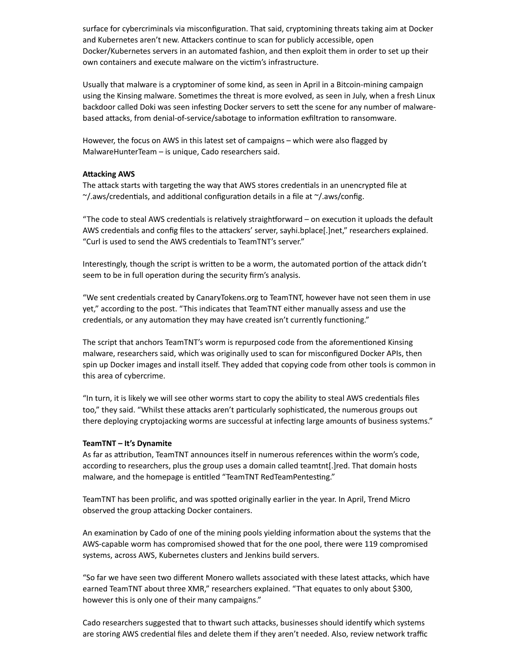surface for cybercriminals via misconfiguration. That said, cryptomining threats taking aim at Docker and Kubernetes aren't new. Attackers continue to scan for publicly accessible, open Docker/Kubernetes servers in an automated fashion, and then exploit them in order to set up their own containers and execute malware on the victim's infrastructure.

Usually that malware is a cryptominer of some kind, as seen in April in a Bitcoin-mining campaign using the Kinsing malware. Sometimes the threat is more evolved, as seen in July, when a fresh Linux backdoor called Doki was seen infesting Docker servers to sett the scene for any number of malwarebased attacks, from denial-of-service/sabotage to information exfiltration to ransomware.

However, the focus on AWS in this latest set of campaigns – which were also flagged by MalwareHunterTeam – is unique, Cado researchers said.

#### **Attacking AWS**

The attack starts with targeting the way that AWS stores credentials in an unencrypted file at  $\gamma$ /.aws/credentials, and additional configuration details in a file at  $\gamma$ /.aws/config.

"The code to steal AWS credentials is relatively straightforward  $-$  on execution it uploads the default AWS credentials and config files to the attackers' server, sayhi.bplace[.]net," researchers explained. "Curl is used to send the AWS credentials to TeamTNT's server."

Interestingly, though the script is written to be a worm, the automated portion of the attack didn't seem to be in full operation during the security firm's analysis.

"We sent credentials created by CanaryTokens.org to TeamTNT, however have not seen them in use yet," according to the post. "This indicates that TeamTNT either manually assess and use the credentials, or any automation they may have created isn't currently functioning."

The script that anchors TeamTNT's worm is repurposed code from the aforementioned Kinsing malware, researchers said, which was originally used to scan for misconfigured Docker APIs, then spin up Docker images and install itself. They added that copying code from other tools is common in this area of cybercrime.

"In turn, it is likely we will see other worms start to copy the ability to steal AWS credenals files too," they said. "Whilst these attacks aren't particularly sophisticated, the numerous groups out there deploying cryptojacking worms are successful at infecting large amounts of business systems."

#### **TeamTNT – It's Dynamite**

As far as attribution, TeamTNT announces itself in numerous references within the worm's code, according to researchers, plus the group uses a domain called teamtnt[.]red. That domain hosts malware, and the homepage is entitled "TeamTNT RedTeamPentesting."

TeamTNT has been prolific, and was spotted originally earlier in the year. In April, Trend Micro observed the group attacking Docker containers.

An examination by Cado of one of the mining pools yielding information about the systems that the AWS-capable worm has compromised showed that for the one pool, there were 119 compromised systems, across AWS, Kubernetes clusters and Jenkins build servers.

"So far we have seen two different Monero wallets associated with these latest attacks, which have earned TeamTNT about three XMR," researchers explained. "That equates to only about \$300, however this is only one of their many campaigns."

Cado researchers suggested that to thwart such attacks, businesses should identify which systems are storing AWS credential files and delete them if they aren't needed. Also, review network traffic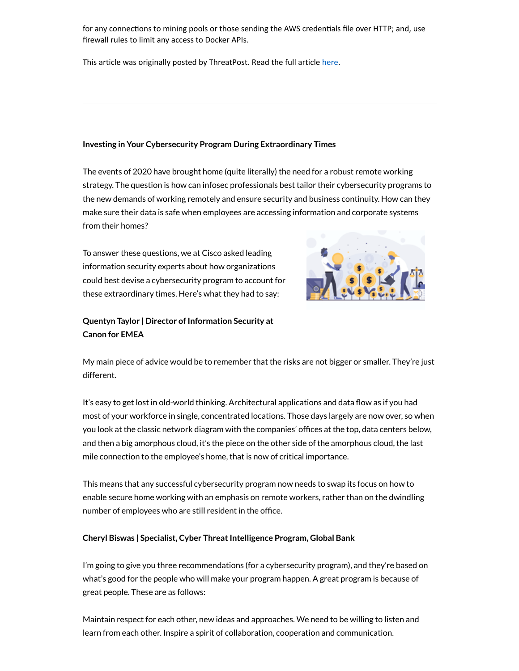for any connections to mining pools or those sending the AWS credentials file over HTTP; and, use firewall rules to limit any access to Docker APIs.

This article was originally posted by ThreatPost. Read the full article [here](https://threatpost.com/aws-cryptojacking-worm-cloud/158427/).

#### **Investing in Your Cybersecurity Program During Extraordinary Times**

The events of 2020 have brought home (quite literally) the need for a robust remote working strategy. The question is how can infosec professionals best tailor their cybersecurity programs to the new demands of working remotely and ensure security and business continuity. How can they make sure their data is safe when employees are accessing information and corporate systems from their homes?

To answer these questions, we at Cisco asked leading information security experts about how organizations could best devise a cybersecurity program to account for these extraordinary times. Here's what they had to say:



#### **Quentyn Taylor | Director of Information Security at Canon for EMEA**

My main piece of advice would be to remember that the risks are not bigger or smaller. They're just different.

It's easy to get lost in old-world thinking. Architectural applications and data flow as if you had most of your workforce in single, concentrated locations. Those days largely are now over, so when you look at the classic network diagram with the companies' offices at the top, data centers below, and then a big amorphous cloud, it's the piece on the other side of the amorphous cloud, the last mile connection to the employee's home, that is now of critical importance.

This means that any successful cybersecurity program now needs to swap its focus on how to enable secure home working with an emphasis on remote workers, rather than on the dwindling number of employees who are still resident in the office.

#### **Cheryl Biswas | Specialist, Cyber Threat Intelligence Program, Global Bank**

I'm going to give you three recommendations (for a cybersecurity program), and they're based on what's good for the people who will make your program happen. A great program is because of great people. These are as follows:

Maintain respect for each other, new ideas and approaches. We need to be willing to listen and learn from each other. Inspire a spirit of collaboration, cooperation and communication.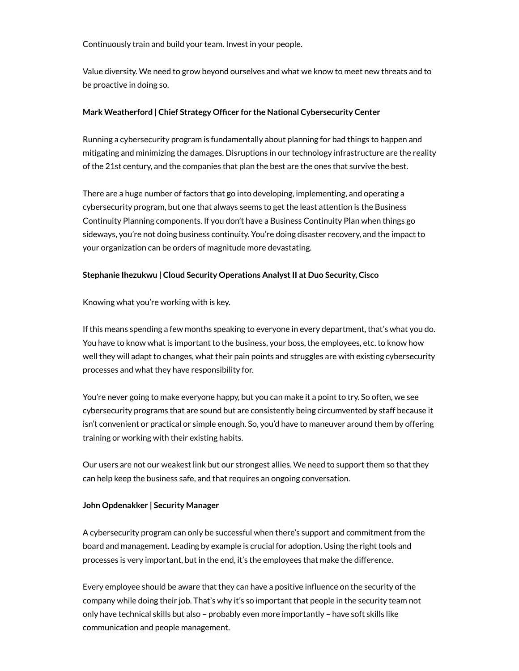Continuously train and build your team. Invest in your people.

Value diversity. We need to grow beyond ourselves and what we know to meet new threats and to be proactive in doing so.

#### **Mark** Weatherford | Chief Strategy Officer for the National Cybersecurity Center

Running a cybersecurity program is fundamentally about planning for bad things to happen and mitigating and minimizing the damages. Disruptions in our technology infrastructure are the reality of the 21st century, and the companies that plan the best are the ones that survive the best.

There are a huge number of factors that go into developing, implementing, and operating a cybersecurity program, but one that always seems to get the least attention is the Business Continuity Planning components. If you don't have a Business Continuity Plan when things go sideways, you're not doing business continuity. You're doing disaster recovery, and the impact to your organization can be orders of magnitude more devastating.

#### **Stephanie Ihezukwu | Cloud Security Operations AnalystII at Duo Security, Cisco**

Knowing what you're working with is key.

If this means spending a few months speaking to everyone in every department, that's what you do. You have to know what is important to the business, your boss, the employees, etc. to know how well they will adapt to changes, what their pain points and struggles are with existing cybersecurity processes and what they have responsibility for.

You're never going to make everyone happy, but you can make it a point to try. So often, we see cybersecurity programs that are sound but are consistently being circumvented by staff because it isn't convenient or practical or simple enough. So, you'd have to maneuver around them by offering training or working with their existing habits.

Our users are not our weakest link but our strongest allies. We need to support them so that they can help keep the business safe, and that requires an ongoing conversation.

#### **John Opdenakker | Security Manager**

A cybersecurity program can only be successful when there's support and commitment from the board and management. Leading by example is crucial for adoption. Using the right tools and processes is very important, but in the end, it's the employees that make the difference.

Every employee should be aware that they can have a positive influence on the security of the company while doing their job. That's why it's so important that people in the security team not only have technical skills but also – probably even more importantly – have soft skills like communication and people management.